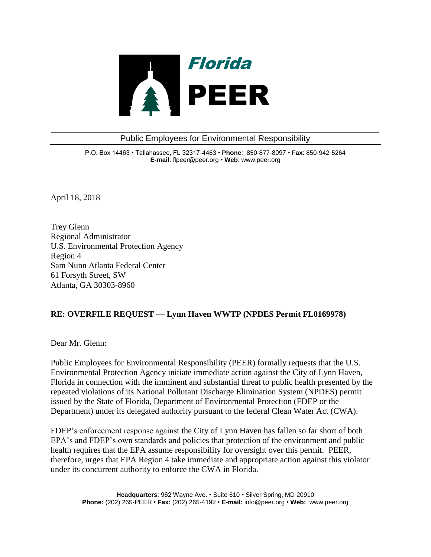

**\_\_\_\_\_\_\_\_\_\_\_\_\_\_\_\_\_\_\_\_\_\_\_\_\_\_\_\_\_\_\_\_\_\_\_\_\_\_\_\_\_\_\_\_\_\_\_\_\_\_\_\_\_\_\_\_\_\_\_\_\_\_\_\_\_\_\_\_\_\_** Public Employees for Environmental Responsibility

> P.O. Box 14463 • Tallahassee, FL 32317-4463 • **Phone**: 850-877-8097 • **Fax**: 850-942-5264 **E-mail**: flpeer@peer.org • **Web**: www.peer.org

April 18, 2018

Trey Glenn Regional Administrator U.S. Environmental Protection Agency Region 4 Sam Nunn Atlanta Federal Center 61 Forsyth Street, SW Atlanta, GA 30303-8960

## **RE: OVERFILE REQUEST — Lynn Haven WWTP (NPDES Permit FL0169978)**

Dear Mr. Glenn:

Public Employees for Environmental Responsibility (PEER) formally requests that the U.S. Environmental Protection Agency initiate immediate action against the City of Lynn Haven, Florida in connection with the imminent and substantial threat to public health presented by the repeated violations of its National Pollutant Discharge Elimination System (NPDES) permit issued by the State of Florida, Department of Environmental Protection (FDEP or the Department) under its delegated authority pursuant to the federal Clean Water Act (CWA).

FDEP's enforcement response against the City of Lynn Haven has fallen so far short of both EPA's and FDEP's own standards and policies that protection of the environment and public health requires that the EPA assume responsibility for oversight over this permit. PEER, therefore, urges that EPA Region 4 take immediate and appropriate action against this violator under its concurrent authority to enforce the CWA in Florida.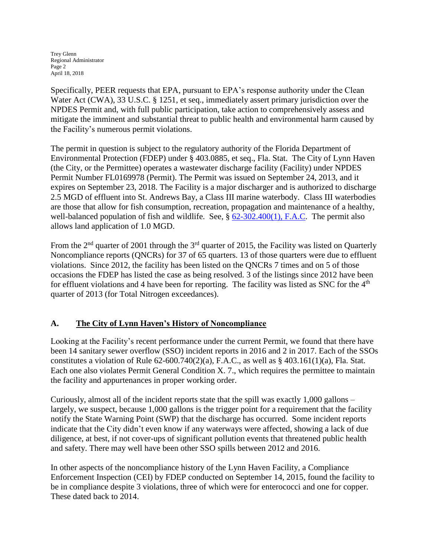Trey Glenn Regional Administrator Page 2 April 18, 2018

Specifically, PEER requests that EPA, pursuant to EPA's response authority under the Clean Water Act (CWA), 33 U.S.C. § 1251, et seq., immediately assert primary jurisdiction over the NPDES Permit and, with full public participation, take action to comprehensively assess and mitigate the imminent and substantial threat to public health and environmental harm caused by the Facility's numerous permit violations.

The permit in question is subject to the regulatory authority of the Florida Department of Environmental Protection (FDEP) under § 403.0885, et seq., Fla. Stat. The City of Lynn Haven (the City, or the Permittee) operates a wastewater discharge facility (Facility) under NPDES Permit Number FL0169978 (Permit). The Permit was issued on September 24, 2013, and it expires on September 23, 2018. The Facility is a major discharger and is authorized to discharge 2.5 MGD of effluent into St. Andrews Bay, a Class III marine waterbody. Class III waterbodies are those that allow for fish consumption, recreation, propagation and maintenance of a healthy, well-balanced population of fish and wildlife. See, § [62-302.400\(1\), F.A.C.](https://www.flrules.org/gateway/ChapterHome.asp?Chapter=62-302) The permit also allows land application of 1.0 MGD.

From the  $2<sup>nd</sup>$  quarter of 2001 through the  $3<sup>rd</sup>$  quarter of 2015, the Facility was listed on Quarterly Noncompliance reports (QNCRs) for 37 of 65 quarters. 13 of those quarters were due to effluent violations. Since 2012, the facility has been listed on the QNCRs 7 times and on 5 of those occasions the FDEP has listed the case as being resolved. 3 of the listings since 2012 have been for effluent violations and 4 have been for reporting. The facility was listed as SNC for the  $4<sup>th</sup>$ quarter of 2013 (for Total Nitrogen exceedances).

## **A. The City of Lynn Haven's History of Noncompliance**

Looking at the Facility's recent performance under the current Permit, we found that there have been 14 sanitary sewer overflow (SSO) incident reports in 2016 and 2 in 2017. Each of the SSOs constitutes a violation of Rule  $62-600.740(2)(a)$ , F.A.C., as well as § 403.161(1)(a), Fla. Stat. Each one also violates Permit General Condition X. 7., which requires the permittee to maintain the facility and appurtenances in proper working order.

Curiously, almost all of the incident reports state that the spill was exactly 1,000 gallons – largely, we suspect, because 1,000 gallons is the trigger point for a requirement that the facility notify the State Warning Point (SWP) that the discharge has occurred. Some incident reports indicate that the City didn't even know if any waterways were affected, showing a lack of due diligence, at best, if not cover-ups of significant pollution events that threatened public health and safety. There may well have been other SSO spills between 2012 and 2016.

In other aspects of the noncompliance history of the Lynn Haven Facility, a Compliance Enforcement Inspection (CEI) by FDEP conducted on September 14, 2015, found the facility to be in compliance despite 3 violations, three of which were for enterococci and one for copper. These dated back to 2014.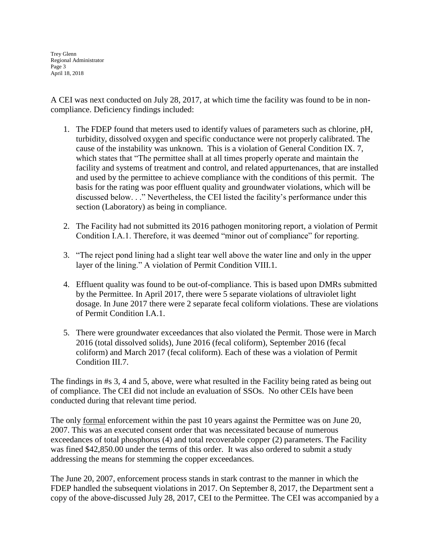Trey Glenn Regional Administrator Page 3 April 18, 2018

A CEI was next conducted on July 28, 2017, at which time the facility was found to be in noncompliance. Deficiency findings included:

- 1. The FDEP found that meters used to identify values of parameters such as chlorine, pH, turbidity, dissolved oxygen and specific conductance were not properly calibrated. The cause of the instability was unknown. This is a violation of General Condition IX. 7, which states that "The permittee shall at all times properly operate and maintain the facility and systems of treatment and control, and related appurtenances, that are installed and used by the permittee to achieve compliance with the conditions of this permit. The basis for the rating was poor effluent quality and groundwater violations, which will be discussed below. . ." Nevertheless, the CEI listed the facility's performance under this section (Laboratory) as being in compliance.
- 2. The Facility had not submitted its 2016 pathogen monitoring report, a violation of Permit Condition I.A.1. Therefore, it was deemed "minor out of compliance" for reporting.
- 3. "The reject pond lining had a slight tear well above the water line and only in the upper layer of the lining." A violation of Permit Condition VIII.1.
- 4. Effluent quality was found to be out-of-compliance. This is based upon DMRs submitted by the Permittee. In April 2017, there were 5 separate violations of ultraviolet light dosage. In June 2017 there were 2 separate fecal coliform violations. These are violations of Permit Condition I.A.1.
- 5. There were groundwater exceedances that also violated the Permit. Those were in March 2016 (total dissolved solids), June 2016 (fecal coliform), September 2016 (fecal coliform) and March 2017 (fecal coliform). Each of these was a violation of Permit Condition III.7.

The findings in #s 3, 4 and 5, above, were what resulted in the Facility being rated as being out of compliance. The CEI did not include an evaluation of SSOs. No other CEIs have been conducted during that relevant time period.

The only formal enforcement within the past 10 years against the Permittee was on June 20, 2007. This was an executed consent order that was necessitated because of numerous exceedances of total phosphorus (4) and total recoverable copper (2) parameters. The Facility was fined \$42,850.00 under the terms of this order. It was also ordered to submit a study addressing the means for stemming the copper exceedances.

The June 20, 2007, enforcement process stands in stark contrast to the manner in which the FDEP handled the subsequent violations in 2017. On September 8, 2017, the Department sent a copy of the above-discussed July 28, 2017, CEI to the Permittee. The CEI was accompanied by a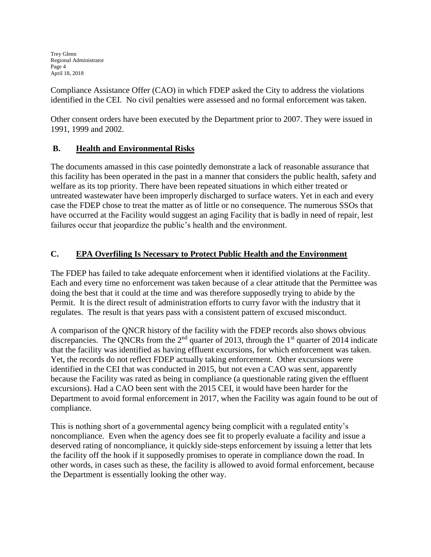Trey Glenn Regional Administrator Page 4 April 18, 2018

Compliance Assistance Offer (CAO) in which FDEP asked the City to address the violations identified in the CEI. No civil penalties were assessed and no formal enforcement was taken.

Other consent orders have been executed by the Department prior to 2007. They were issued in 1991, 1999 and 2002.

## **B. Health and Environmental Risks**

The documents amassed in this case pointedly demonstrate a lack of reasonable assurance that this facility has been operated in the past in a manner that considers the public health, safety and welfare as its top priority. There have been repeated situations in which either treated or untreated wastewater have been improperly discharged to surface waters. Yet in each and every case the FDEP chose to treat the matter as of little or no consequence. The numerous SSOs that have occurred at the Facility would suggest an aging Facility that is badly in need of repair, lest failures occur that jeopardize the public's health and the environment.

## **C. EPA Overfiling Is Necessary to Protect Public Health and the Environment**

The FDEP has failed to take adequate enforcement when it identified violations at the Facility. Each and every time no enforcement was taken because of a clear attitude that the Permittee was doing the best that it could at the time and was therefore supposedly trying to abide by the Permit. It is the direct result of administration efforts to curry favor with the industry that it regulates. The result is that years pass with a consistent pattern of excused misconduct.

A comparison of the QNCR history of the facility with the FDEP records also shows obvious discrepancies. The QNCRs from the  $2<sup>nd</sup>$  quarter of 2013, through the  $1<sup>st</sup>$  quarter of 2014 indicate that the facility was identified as having effluent excursions, for which enforcement was taken. Yet, the records do not reflect FDEP actually taking enforcement. Other excursions were identified in the CEI that was conducted in 2015, but not even a CAO was sent, apparently because the Facility was rated as being in compliance (a questionable rating given the effluent excursions). Had a CAO been sent with the 2015 CEI, it would have been harder for the Department to avoid formal enforcement in 2017, when the Facility was again found to be out of compliance.

This is nothing short of a governmental agency being complicit with a regulated entity's noncompliance. Even when the agency does see fit to properly evaluate a facility and issue a deserved rating of noncompliance, it quickly side-steps enforcement by issuing a letter that lets the facility off the hook if it supposedly promises to operate in compliance down the road. In other words, in cases such as these, the facility is allowed to avoid formal enforcement, because the Department is essentially looking the other way.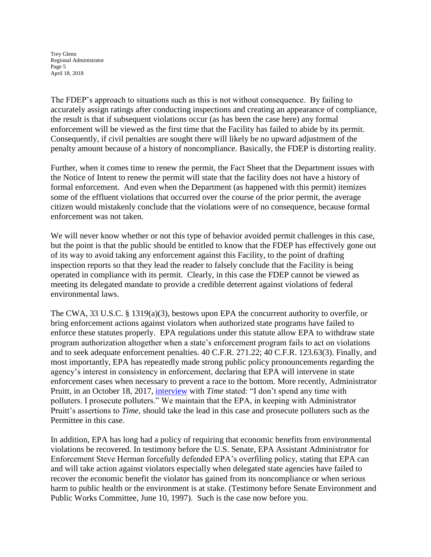Trey Glenn Regional Administrator Page 5 April 18, 2018

The FDEP's approach to situations such as this is not without consequence. By failing to accurately assign ratings after conducting inspections and creating an appearance of compliance, the result is that if subsequent violations occur (as has been the case here) any formal enforcement will be viewed as the first time that the Facility has failed to abide by its permit. Consequently, if civil penalties are sought there will likely be no upward adjustment of the penalty amount because of a history of noncompliance. Basically, the FDEP is distorting reality.

Further, when it comes time to renew the permit, the Fact Sheet that the Department issues with the Notice of Intent to renew the permit will state that the facility does not have a history of formal enforcement. And even when the Department (as happened with this permit) itemizes some of the effluent violations that occurred over the course of the prior permit, the average citizen would mistakenly conclude that the violations were of no consequence, because formal enforcement was not taken.

We will never know whether or not this type of behavior avoided permit challenges in this case, but the point is that the public should be entitled to know that the FDEP has effectively gone out of its way to avoid taking any enforcement against this Facility, to the point of drafting inspection reports so that they lead the reader to falsely conclude that the Facility is being operated in compliance with its permit. Clearly, in this case the FDEP cannot be viewed as meeting its delegated mandate to provide a credible deterrent against violations of federal environmental laws.

The CWA, 33 U.S.C. § 1319(a)(3), bestows upon EPA the concurrent authority to overfile, or bring enforcement actions against violators when authorized state programs have failed to enforce these statutes properly. EPA regulations under this statute allow EPA to withdraw state program authorization altogether when a state's enforcement program fails to act on violations and to seek adequate enforcement penalties. 40 C.F.R. 271.22; 40 C.F.R. 123.63(3). Finally, and most importantly, EPA has repeatedly made strong public policy pronouncements regarding the agency's interest in consistency in enforcement, declaring that EPA will intervene in state enforcement cases when necessary to prevent a race to the bottom. More recently, Administrator Pruitt, in an October 18, 2017, [interview](http://time.com/4998279/company-man-in-washington/) with *Time* stated: "I don't spend any time with polluters. I prosecute polluters." We maintain that the EPA, in keeping with Administrator Pruitt's assertions to *Time,* should take the lead in this case and prosecute polluters such as the Permittee in this case.

In addition, EPA has long had a policy of requiring that economic benefits from environmental violations be recovered. In testimony before the U.S. Senate, EPA Assistant Administrator for Enforcement Steve Herman forcefully defended EPA's overfiling policy, stating that EPA can and will take action against violators especially when delegated state agencies have failed to recover the economic benefit the violator has gained from its noncompliance or when serious harm to public health or the environment is at stake. (Testimony before Senate Environment and Public Works Committee, June 10, 1997). Such is the case now before you.